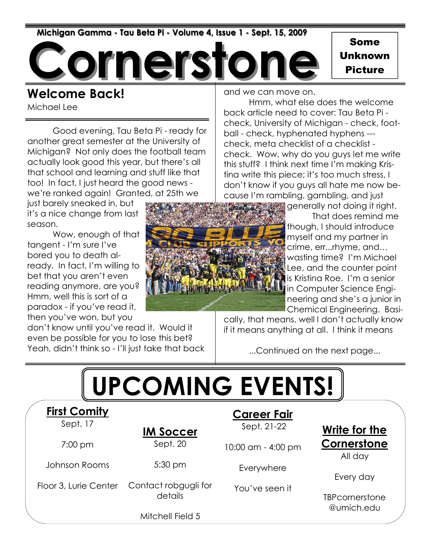Michigan Gamma - Tau Beta Pi - Volume 4, Issue 1 - Sept. 15, 2009

nerst

Some Unknown Picture

### Welcome Back!

Michael Lee

 Good evening, Tau Beta Pi - ready for another great semester at the University of Michigan? Not only does the football team actually look good this year, but there's all that school and learning and stuff like that too! In fact, I just heard the good news we're ranked again! Granted, at 25th we

just barely sneaked in, but it's a nice change from last season.

 Wow, enough of that tangent - I'm sure I've bored you to death already. In fact, I'm willing to bet that you aren't even reading anymore, are you? Hmm, well this is sort of a paradox - if you've read it, then you've won, but you

don't know until you've read it. Would it even be possible for you to lose this bet? Yeah, didn't think so - I'll just take that back and we can move on.

 Hmm, what else does the welcome back article need to cover: Tau Beta Pi check, University of Michigan - check, football - check, hyphenated hyphens -- check, meta checklist of a checklist check. Wow, why do you guys let me write this stuff? I think next time I'm making Kristina write this piece; it's too much stress, I don't know if you guys all hate me now because I'm rambling, gambling, and just

> generally not doing it right. That does remind me though, I should introduce myself and my partner in crime, err...rhyme, and… wasting time? I'm Michael Lee, and the counter point is Kristina Roe. I'm a senior in Computer Science Engineering and she's a junior in Chemical Engineering. Basi-

cally, that means, well I don't actually know if it means anything at all. I think it means

...Continued on the next page...



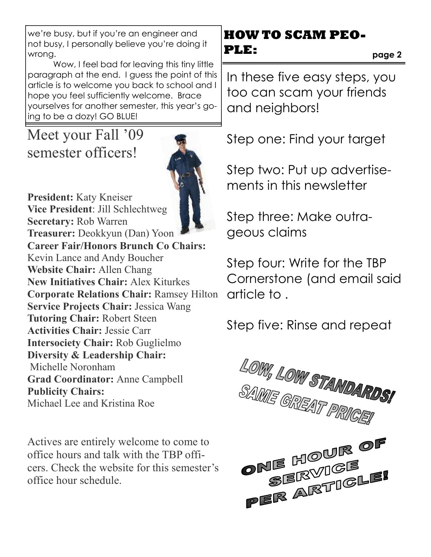we're busy, but if you're an engineer and not busy, I personally believe you're doing it wrong.

 Wow, I feel bad for leaving this tiny little paragraph at the end. I guess the point of this article is to welcome you back to school and I hope you feel sufficiently welcome. Brace yourselves for another semester, this year's going to be a dozy! GO BLUE!

### Meet your Fall '09 semester officers!

![](_page_1_Picture_3.jpeg)

President: Katy Kneiser Vice President: Jill Schlechtweg Secretary: Rob Warren Treasurer: Deokkyun (Dan) Yoon Career Fair/Honors Brunch Co Chairs: Kevin Lance and Andy Boucher Website Chair: Allen Chang New Initiatives Chair: Alex Kiturkes Corporate Relations Chair: Ramsey Hilton Service Projects Chair: Jessica Wang Tutoring Chair: Robert Steen Activities Chair: Jessie Carr Intersociety Chair: Rob Guglielmo Diversity & Leadership Chair: Michelle Noronham Grad Coordinator: Anne Campbell Publicity Chairs: Michael Lee and Kristina Roe

Actives are entirely welcome to come to office hours and talk with the TBP officers. Check the website for this semester's office hour schedule.

### **HOW TO SCAM PEO-PLE:**

page 2

In these five easy steps, you too can scam your friends and neighbors!

Step one: Find your target

Step two: Put up advertisements in this newsletter

Step three: Make outrageous claims

Step four: Write for the TBP Cornerstone (and email said article to .

Step five: Rinse and repeat

![](_page_1_Picture_14.jpeg)

![](_page_1_Picture_15.jpeg)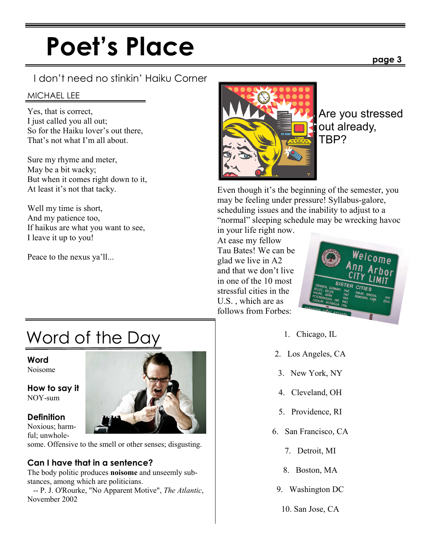# Poet's Place

#### I don't need no stinkin' Haiku Corner

#### MICHAEL LEE

Yes, that is correct, I just called you all out; So for the Haiku lover's out there, That's not what I'm all about.

Sure my rhyme and meter, May be a bit wacky; But when it comes right down to it, At least it's not that tacky.

Well my time is short, And my patience too, If haikus are what you want to see, I leave it up to you!

Peace to the nexus ya'll...

![](_page_2_Picture_7.jpeg)

Are you stressed out already, TBP?

Even though it's the beginning of the semester, you may be feeling under pressure! Syllabus-galore, scheduling issues and the inability to adjust to a "normal" sleeping schedule may be wrecking havoc

in your life right now. At ease my fellow Tau Bates! We can be glad we live in A2 and that we don't live in one of the 10 most stressful cities in the U.S. , which are as follows from Forbes:

![](_page_2_Picture_11.jpeg)

- 1. Chicago, IL
- 2. Los Angeles, CA
- 3. New York, NY
- 4. Cleveland, OH
- 5. Providence, RI
- 6. San Francisco, CA
	- 7. Detroit, MI
	- 8. Boston, MA
- 9. Washington DC
	- 10. San Jose, CA

### Word of the Day

**Word** Noisome

How to say it NOY-sum

**Definition** 

ful; unwhole-

some. Offensive to the smell or other senses; disgusting.

#### Can I have that in a sentence?

The body politic produces noisome and unseemly substances, among which are politicians.

 -- P. J. O'Rourke, "No Apparent Motive", The Atlantic, November 2002

![](_page_2_Picture_31.jpeg)

![](_page_2_Picture_32.jpeg)